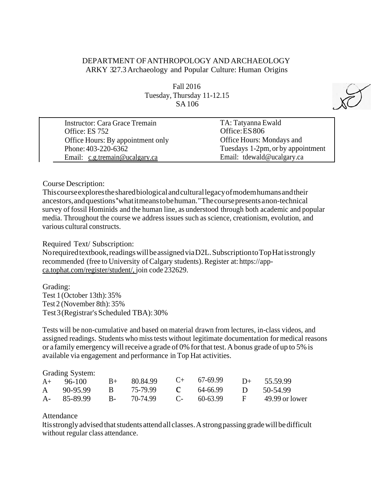# DEPARTMENT OFANTHROPOLOGY AND ARCHAEOLOGY ARKY 327.3Archaeology and Popular Culture: Human Origins

Fall 2016 Tuesday, Thursday 11-12.15 SA106



| Instructor: Cara Grace Tremain    | TA: Tatyanna Ewald                |
|-----------------------------------|-----------------------------------|
| Office: ES 752                    | Office: ES 806                    |
| Office Hours: By appointment only | Office Hours: Mondays and         |
| Phone: 403-220-6362               | Tuesdays 1-2pm, or by appointment |
| Email: c.g.tremain@ucalgary.ca    | Email: tdewald@ucalgary.ca        |

#### Course Description:

Thiscourseexploresthesharedbiological andculturallegacyofmodemhumansandtheir ancestors,andquestions''whatitmeanstobehuman."Thecoursepresentsanon-technical survey of fossil Hominids and the human line, as understood through both academic and popular media. Throughout the course we address issues such as science, creationism, evolution, and various cultural constructs.

#### Required Text/ Subscription:

Norequired textbook, readings will be assigned via D2L. Subscription to Top Hat is strongly recommended (free to University of Calgary students). Register at: https://appca.tophat.com/register/student/, join code 232629.

Grading: Test 1(October 13th): 35% Test 2 (November 8th): 35% Test3(Registrar's Scheduled TBA):30%

Tests will be non-cumulative and based on material drawn from lectures, in-class videos, and assigned readings. Students who misstests without legitimate documentation for medical reasons or a family emergency will receive a grade of 0% for that test. A bonus grade of up to 5% is available via engagement and performance in Top Hat activities.

#### Grading System:

| $A+ 96-100$ |                               | $B+ 80.84.99$                                | $C_{+}$ 67-69.99 |              | $D+$ 55.59.99  |
|-------------|-------------------------------|----------------------------------------------|------------------|--------------|----------------|
| A 90-95.99  | $\overline{B}$ $\overline{B}$ | 75-79.99 <b>C</b> 64-66.99 <b>D</b> 50-54.99 |                  |              |                |
| A- 85-89.99 |                               | B- 70-74.99                                  | $C_{7}$ 60-63.99 | $\mathbf{F}$ | 49.99 or lower |

#### Attendance

Itis strongly advised that students attendall classes. A strong passing grade will be difficult without regular class attendance.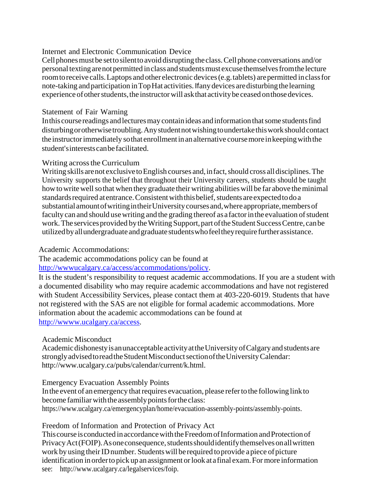## Internet and Electronic Communication Device

Cell phones must be setto silent to avoid disrupting the class. Cell phone conversations and/or personal texting are not permitted in class and students must excuse themselves from the lecture roomtoreceive calls.Laptops andother electronic devices(e.g.tablets) arepermitted inclassfor note-taking and participation in Top Hat activities. If any devices are disturbing the learning experience of other students, the instructor will ask that activity be ceased on those devices.

## Statement of Fair Warning

In this course readings and lectures may contain ideas and information that some students find disturbingorotherwisetroubling.Anystudentnotwishingtoundertakethisworkshouldcontact the instructorimmediately sothat enrollmentinanalternative coursemore inkeepingwiththe student'sinterestscanbefacilitated.

## Writing across the Curriculum

Writing skills are not exclusive to English courses and, in fact, should cross all disciplines. The University supports the belief that throughout their University careers, students should be taught how to write well so that when they graduate their writing abilities will be far above the minimal standards required at entrance. Consistent with this belief, students are expected to do a substantialamountofwritingintheirUniversitycoursesand,whereappropriate,membersof faculty can and should use writing and the grading thereof as a factor in the evaluation of student work. The services provided by the Writing Support, part of the Student Success Centre, can be utilizedbyallundergraduate andgraduate studentswhofeeltheyrequire furtherassistance.

# Academic Accommodations:

The academic accommodations policy can be found at [http://wwwucalgary.ca/access/accommodations/policy.](http://wwwucalgary.ca/access/accommodations/policy)

It is the student's responsibility to request academic accommodations. If you are a student with a documented disability who may require academic accommodations and have not registered with Student Accessibility Services, please contact them at 403-220-6019. Students that have not registered with the SAS are not eligible for formal academic accommodations. More information about the academic accommodations can be found at [http://wwww.ucalgary.ca/access.](http://wwww.ucalgary.ca/access)

# Academic Misconduct

Academic dishonesty is an unacceptable activity at the University of Calgary and students are strongly advised to read the Student Misconduct section of the University Calendar: [http://www.ucalgary.ca/pubs/calendar/current/k.html.](http://www.ucalgary.ca/pubs/calendar/current/k.html)

## Emergency Evacuation Assembly Points

In the event of an emergency that requires evacuation, please refer to the following link to become familiar with the assembly points for the class: [https://www.ucalgary.ca/emergencyplan/home/evacuation-assembly-points/assembly-points.](http://www.ucalgary.ca/emergencyplan/home/evacuation-assembly-points/assembly-points)

## Freedom of Information and Protection of Privacy Act

Thiscourse isconducted inaccordancewiththeFreedomofInformation andProtectionof PrivacyAct(FOIP).Asoneconsequence,studentsshouldidentifythemselvesonallwritten work by using their ID number. Students will be required to provide a piece of picture identification in order to pick up an assignment or look at a final exam. For more information see: [http://www.ucalgary.ca/legalservices/foip.](http://www.ucalgary.ca/legalservices/foip)